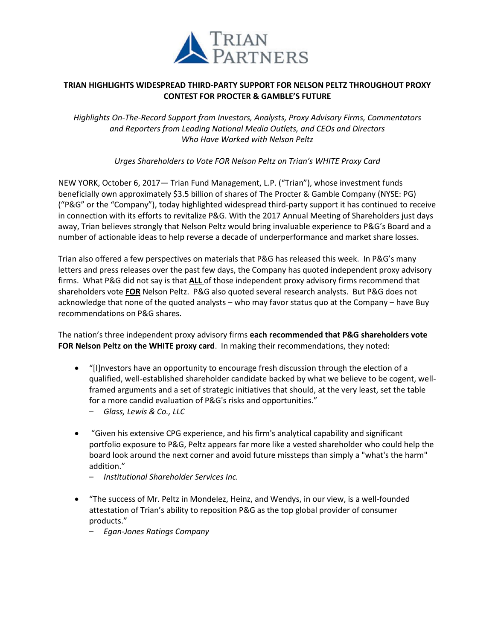

# **TRIAN HIGHLIGHTS WIDESPREAD THIRD-PARTY SUPPORT FOR NELSON PELTZ THROUGHOUT PROXY CONTEST FOR PROCTER & GAMBLE'S FUTURE**

*Highlights On-The-Record Support from Investors, Analysts, Proxy Advisory Firms, Commentators and Reporters from Leading National Media Outlets, and CEOs and Directors Who Have Worked with Nelson Peltz* 

*Urges Shareholders to Vote FOR Nelson Peltz on Trian's WHITE Proxy Card*

NEW YORK, October 6, 2017— Trian Fund Management, L.P. ("Trian"), whose investment funds beneficially own approximately \$3.5 billion of shares of The Procter & Gamble Company (NYSE: PG) ("P&G" or the "Company"), today highlighted widespread third-party support it has continued to receive in connection with its efforts to revitalize P&G. With the 2017 Annual Meeting of Shareholders just days away, Trian believes strongly that Nelson Peltz would bring invaluable experience to P&G's Board and a number of actionable ideas to help reverse a decade of underperformance and market share losses.

Trian also offered a few perspectives on materials that P&G has released this week. In P&G's many letters and press releases over the past few days, the Company has quoted independent proxy advisory firms. What P&G did not say is that **ALL** of those independent proxy advisory firms recommend that shareholders vote **FOR** Nelson Peltz. P&G also quoted several research analysts. But P&G does not acknowledge that none of the quoted analysts – who may favor status quo at the Company – have Buy recommendations on P&G shares.

The nation's three independent proxy advisory firms **each recommended that P&G shareholders vote FOR Nelson Peltz on the WHITE proxy card**. In making their recommendations, they noted:

- "[I]nvestors have an opportunity to encourage fresh discussion through the election of a qualified, well-established shareholder candidate backed by what we believe to be cogent, wellframed arguments and a set of strategic initiatives that should, at the very least, set the table for a more candid evaluation of P&G's risks and opportunities."
	- *Glass, Lewis & Co., LLC*
- "Given his extensive CPG experience, and his firm's analytical capability and significant portfolio exposure to P&G, Peltz appears far more like a vested shareholder who could help the board look around the next corner and avoid future missteps than simply a "what's the harm" addition."
	- *Institutional Shareholder Services Inc.*
- "The success of Mr. Peltz in Mondelez, Heinz, and Wendys, in our view, is a well-founded attestation of Trian's ability to reposition P&G as the top global provider of consumer products."
	- *Egan-Jones Ratings Company*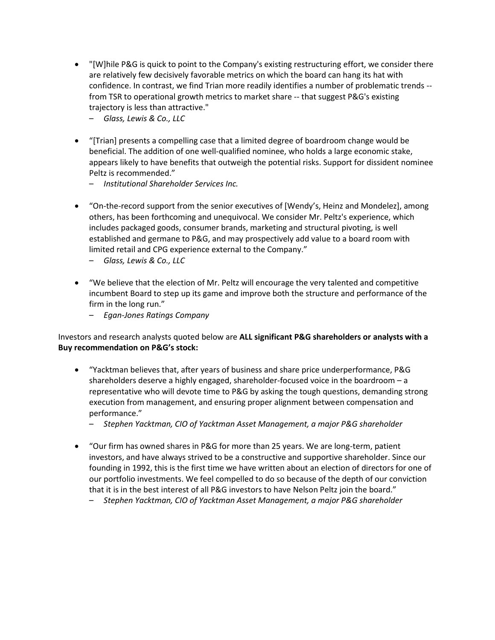- "[W]hile P&G is quick to point to the Company's existing restructuring effort, we consider there are relatively few decisively favorable metrics on which the board can hang its hat with confidence. In contrast, we find Trian more readily identifies a number of problematic trends - from TSR to operational growth metrics to market share -- that suggest P&G's existing trajectory is less than attractive."
	- *Glass, Lewis & Co., LLC*
- "[Trian] presents a compelling case that a limited degree of boardroom change would be beneficial. The addition of one well-qualified nominee, who holds a large economic stake, appears likely to have benefits that outweigh the potential risks. Support for dissident nominee Peltz is recommended."
	- *Institutional Shareholder Services Inc.*
- "On-the-record support from the senior executives of [Wendy's, Heinz and Mondelez], among others, has been forthcoming and unequivocal. We consider Mr. Peltz's experience, which includes packaged goods, consumer brands, marketing and structural pivoting, is well established and germane to P&G, and may prospectively add value to a board room with limited retail and CPG experience external to the Company."
	- *Glass, Lewis & Co., LLC*
- "We believe that the election of Mr. Peltz will encourage the very talented and competitive incumbent Board to step up its game and improve both the structure and performance of the firm in the long run."
	- *Egan-Jones Ratings Company*

## Investors and research analysts quoted below are **ALL significant P&G shareholders or analysts with a Buy recommendation on P&G's stock:**

- "Yacktman believes that, after years of business and share price underperformance, P&G shareholders deserve a highly engaged, shareholder-focused voice in the boardroom – a representative who will devote time to P&G by asking the tough questions, demanding strong execution from management, and ensuring proper alignment between compensation and performance."
	- *Stephen Yacktman, CIO of Yacktman Asset Management, a major P&G shareholder*
- "Our firm has owned shares in P&G for more than 25 years. We are long-term, patient investors, and have always strived to be a constructive and supportive shareholder. Since our founding in 1992, this is the first time we have written about an election of directors for one of our portfolio investments. We feel compelled to do so because of the depth of our conviction that it is in the best interest of all P&G investors to have Nelson Peltz join the board."
	- *Stephen Yacktman, CIO of Yacktman Asset Management, a major P&G shareholder*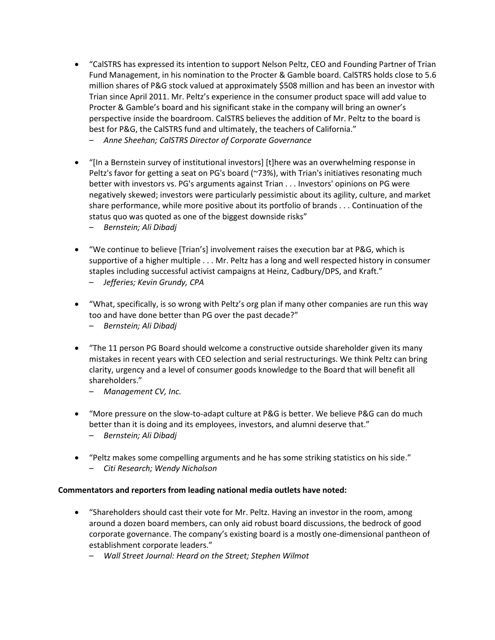- "CalSTRS has expressed its intention to support Nelson Peltz, CEO and Founding Partner of Trian Fund Management, in his nomination to the Procter & Gamble board. CalSTRS holds close to 5.6 million shares of P&G stock valued at approximately \$508 million and has been an investor with Trian since April 2011. Mr. Peltz's experience in the consumer product space will add value to Procter & Gamble's board and his significant stake in the company will bring an owner's perspective inside the boardroom. CalSTRS believes the addition of Mr. Peltz to the board is best for P&G, the CalSTRS fund and ultimately, the teachers of California."
	- *Anne Sheehan; CalSTRS Director of Corporate Governance*
- "[In a Bernstein survey of institutional investors] [t]here was an overwhelming response in Peltz's favor for getting a seat on PG's board (~73%), with Trian's initiatives resonating much better with investors vs. PG's arguments against Trian . . . Investors' opinions on PG were negatively skewed; investors were particularly pessimistic about its agility, culture, and market share performance, while more positive about its portfolio of brands . . . Continuation of the status quo was quoted as one of the biggest downside risks"
	- *Bernstein; Ali Dibadj*
- "We continue to believe [Trian's] involvement raises the execution bar at P&G, which is supportive of a higher multiple . . . Mr. Peltz has a long and well respected history in consumer staples including successful activist campaigns at Heinz, Cadbury/DPS, and Kraft."
	- *Jefferies; Kevin Grundy, CPA*
- "What, specifically, is so wrong with Peltz's org plan if many other companies are run this way too and have done better than PG over the past decade?"
	- *Bernstein; Ali Dibadj*
- "The 11 person PG Board should welcome a constructive outside shareholder given its many mistakes in recent years with CEO selection and serial restructurings. We think Peltz can bring clarity, urgency and a level of consumer goods knowledge to the Board that will benefit all shareholders."
	- *Management CV, Inc.*
- "More pressure on the slow-to-adapt culture at P&G is better. We believe P&G can do much better than it is doing and its employees, investors, and alumni deserve that."
	- *Bernstein; Ali Dibadj*
- "Peltz makes some compelling arguments and he has some striking statistics on his side."
	- *Citi Research; Wendy Nicholson*

### **Commentators and reporters from leading national media outlets have noted:**

- "Shareholders should cast their vote for Mr. Peltz. Having an investor in the room, among around a dozen board members, can only aid robust board discussions, the bedrock of good corporate governance. The company's existing board is a mostly one-dimensional pantheon of establishment corporate leaders."
	- *Wall Street Journal: Heard on the Street; Stephen Wilmot*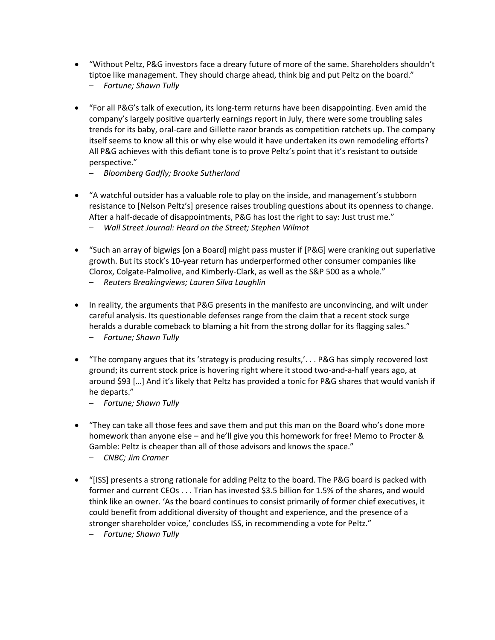- "Without Peltz, P&G investors face a dreary future of more of the same. Shareholders shouldn't tiptoe like management. They should charge ahead, think big and put Peltz on the board."
	- *Fortune; Shawn Tully*
- "For all P&G's talk of execution, its long-term returns have been disappointing. Even amid the company's largely positive quarterly earnings report in July, there were some troubling sales trends for its baby, oral-care and Gillette razor brands as competition ratchets up. The company itself seems to know all this or why else would it have undertaken its own remodeling efforts? All P&G achieves with this defiant tone is to prove Peltz's point that it's resistant to outside perspective."
	- *Bloomberg Gadfly; Brooke Sutherland*
- "A watchful outsider has a valuable role to play on the inside, and management's stubborn resistance to [Nelson Peltz's] presence raises troubling questions about its openness to change. After a half-decade of disappointments, P&G has lost the right to say: Just trust me."
	- *Wall Street Journal: Heard on the Street; Stephen Wilmot*
- "Such an array of bigwigs [on a Board] might pass muster if [P&G] were cranking out superlative growth. But its stock's 10-year return has underperformed other consumer companies like Clorox, Colgate-Palmolive, and Kimberly-Clark, as well as the S&P 500 as a whole."
	- *Reuters Breakingviews; Lauren Silva Laughlin*
- In reality, the arguments that P&G presents in the manifesto are unconvincing, and wilt under careful analysis. Its questionable defenses range from the claim that a recent stock surge heralds a durable comeback to blaming a hit from the strong dollar for its flagging sales."
	- *Fortune; Shawn Tully*
- "The company argues that its 'strategy is producing results,'. . . P&G has simply recovered lost ground; its current stock price is hovering right where it stood two-and-a-half years ago, at around \$93 […] And it's likely that Peltz has provided a tonic for P&G shares that would vanish if he departs."
	- *Fortune; Shawn Tully*
- "They can take all those fees and save them and put this man on the Board who's done more homework than anyone else – and he'll give you this homework for free! Memo to Procter & Gamble: Peltz is cheaper than all of those advisors and knows the space."
	- *CNBC; Jim Cramer*
- "[ISS] presents a strong rationale for adding Peltz to the board. The P&G board is packed with former and current CEOs . . . Trian has invested \$3.5 billion for 1.5% of the shares, and would think like an owner. 'As the board continues to consist primarily of former chief executives, it could benefit from additional diversity of thought and experience, and the presence of a stronger shareholder voice,' concludes ISS, in recommending a vote for Peltz."
	- *Fortune; Shawn Tully*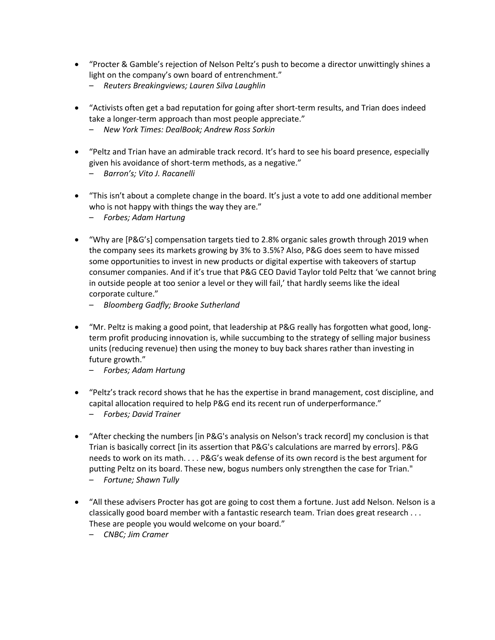- "Procter & Gamble's rejection of Nelson Peltz's push to become a director unwittingly shines a light on the company's own board of entrenchment."
	- *Reuters Breakingviews; Lauren Silva Laughlin*
- "Activists often get a bad reputation for going after short-term results, and Trian does indeed take a longer-term approach than most people appreciate."
	- *New York Times: DealBook; Andrew Ross Sorkin*
- "Peltz and Trian have an admirable track record. It's hard to see his board presence, especially given his avoidance of short-term methods, as a negative."
	- *Barron's; Vito J. Racanelli*
- "This isn't about a complete change in the board. It's just a vote to add one additional member who is not happy with things the way they are."
	- *Forbes; Adam Hartung*
- "Why are [P&G's] compensation targets tied to 2.8% organic sales growth through 2019 when the company sees its markets growing by 3% to 3.5%? Also, P&G does seem to have missed some opportunities to invest in new products or digital expertise with takeovers of startup consumer companies. And if it's true that P&G CEO David Taylor told Peltz that 'we cannot bring in outside people at too senior a level or they will fail,' that hardly seems like the ideal corporate culture."
	- *Bloomberg Gadfly; Brooke Sutherland*
- "Mr. Peltz is making a good point, that leadership at P&G really has forgotten what good, longterm profit producing innovation is, while succumbing to the strategy of selling major business units (reducing revenue) then using the money to buy back shares rather than investing in future growth."
	- *Forbes; Adam Hartung*
- "Peltz's track record shows that he has the expertise in brand management, cost discipline, and capital allocation required to help P&G end its recent run of underperformance."
	- *Forbes; David Trainer*
- "After checking the numbers [in P&G's analysis on Nelson's track record] my conclusion is that Trian is basically correct [in its assertion that P&G's calculations are marred by errors]. P&G needs to work on its math. . . . P&G's weak defense of its own record is the best argument for putting Peltz on its board. These new, bogus numbers only strengthen the case for Trian." – *Fortune; Shawn Tully*
- "All these advisers Procter has got are going to cost them a fortune. Just add Nelson. Nelson is a classically good board member with a fantastic research team. Trian does great research . . . These are people you would welcome on your board."
	- *CNBC; Jim Cramer*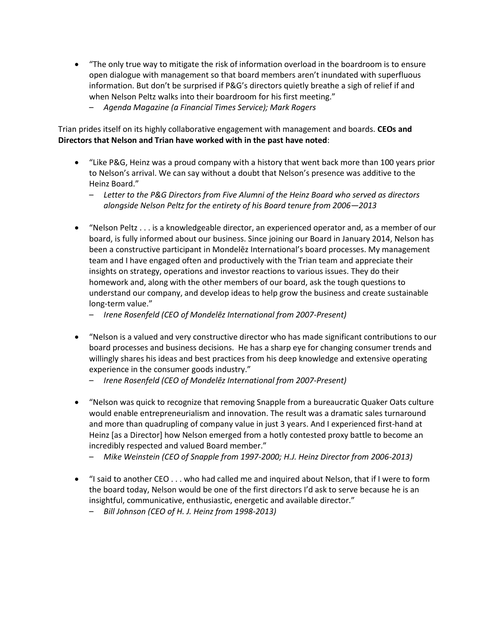- "The only true way to mitigate the risk of information overload in the boardroom is to ensure open dialogue with management so that board members aren't inundated with superfluous information. But don't be surprised if P&G's directors quietly breathe a sigh of relief if and when Nelson Peltz walks into their boardroom for his first meeting."
	- *Agenda Magazine (a Financial Times Service); Mark Rogers*

Trian prides itself on its highly collaborative engagement with management and boards. **CEOs and Directors that Nelson and Trian have worked with in the past have noted**:

- "Like P&G, Heinz was a proud company with a history that went back more than 100 years prior to Nelson's arrival. We can say without a doubt that Nelson's presence was additive to the Heinz Board."
	- *Letter to the P&G Directors from Five Alumni of the Heinz Board who served as directors alongside Nelson Peltz for the entirety of his Board tenure from 2006—2013*
- "Nelson Peltz . . . is a knowledgeable director, an experienced operator and, as a member of our board, is fully informed about our business. Since joining our Board in January 2014, Nelson has been a constructive participant in Mondelēz International's board processes. My management team and I have engaged often and productively with the Trian team and appreciate their insights on strategy, operations and investor reactions to various issues. They do their homework and, along with the other members of our board, ask the tough questions to understand our company, and develop ideas to help grow the business and create sustainable long-term value."
	- *Irene Rosenfeld (CEO of Mondelēz International from 2007-Present)*
- "Nelson is a valued and very constructive director who has made significant contributions to our board processes and business decisions. He has a sharp eye for changing consumer trends and willingly shares his ideas and best practices from his deep knowledge and extensive operating experience in the consumer goods industry."
	- *Irene Rosenfeld (CEO of Mondelēz International from 2007-Present)*
- "Nelson was quick to recognize that removing Snapple from a bureaucratic Quaker Oats culture would enable entrepreneurialism and innovation. The result was a dramatic sales turnaround and more than quadrupling of company value in just 3 years. And I experienced first-hand at Heinz [as a Director] how Nelson emerged from a hotly contested proxy battle to become an incredibly respected and valued Board member."
	- *Mike Weinstein (CEO of Snapple from 1997-2000; H.J. Heinz Director from 2006-2013)*
- "I said to another CEO . . . who had called me and inquired about Nelson, that if I were to form the board today, Nelson would be one of the first directors I'd ask to serve because he is an insightful, communicative, enthusiastic, energetic and available director."
	- *Bill Johnson (CEO of H. J. Heinz from 1998-2013)*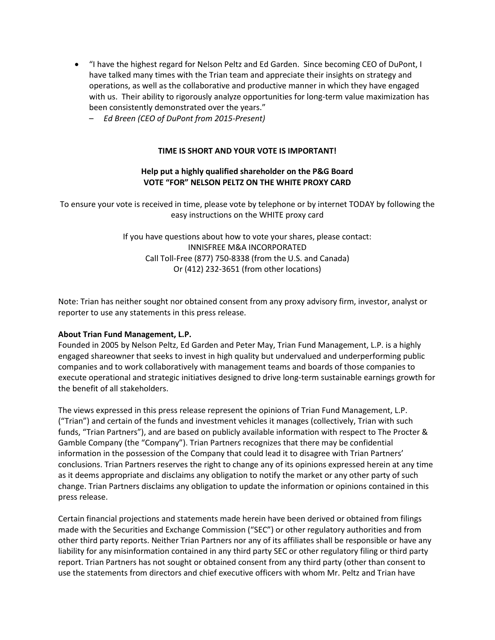- "I have the highest regard for Nelson Peltz and Ed Garden. Since becoming CEO of DuPont, I have talked many times with the Trian team and appreciate their insights on strategy and operations, as well as the collaborative and productive manner in which they have engaged with us. Their ability to rigorously analyze opportunities for long-term value maximization has been consistently demonstrated over the years."
	- *Ed Breen (CEO of DuPont from 2015-Present)*

## **TIME IS SHORT AND YOUR VOTE IS IMPORTANT!**

# **Help put a highly qualified shareholder on the P&G Board VOTE "FOR" NELSON PELTZ ON THE WHITE PROXY CARD**

To ensure your vote is received in time, please vote by telephone or by internet TODAY by following the easy instructions on the WHITE proxy card

> If you have questions about how to vote your shares, please contact: INNISFREE M&A INCORPORATED Call Toll-Free (877) 750-8338 (from the U.S. and Canada) Or (412) 232-3651 (from other locations)

Note: Trian has neither sought nor obtained consent from any proxy advisory firm, investor, analyst or reporter to use any statements in this press release.

### **About Trian Fund Management, L.P.**

Founded in 2005 by Nelson Peltz, Ed Garden and Peter May, Trian Fund Management, L.P. is a highly engaged shareowner that seeks to invest in high quality but undervalued and underperforming public companies and to work collaboratively with management teams and boards of those companies to execute operational and strategic initiatives designed to drive long-term sustainable earnings growth for the benefit of all stakeholders.

The views expressed in this press release represent the opinions of Trian Fund Management, L.P. ("Trian") and certain of the funds and investment vehicles it manages (collectively, Trian with such funds, "Trian Partners"), and are based on publicly available information with respect to The Procter & Gamble Company (the "Company"). Trian Partners recognizes that there may be confidential information in the possession of the Company that could lead it to disagree with Trian Partners' conclusions. Trian Partners reserves the right to change any of its opinions expressed herein at any time as it deems appropriate and disclaims any obligation to notify the market or any other party of such change. Trian Partners disclaims any obligation to update the information or opinions contained in this press release.

Certain financial projections and statements made herein have been derived or obtained from filings made with the Securities and Exchange Commission ("SEC") or other regulatory authorities and from other third party reports. Neither Trian Partners nor any of its affiliates shall be responsible or have any liability for any misinformation contained in any third party SEC or other regulatory filing or third party report. Trian Partners has not sought or obtained consent from any third party (other than consent to use the statements from directors and chief executive officers with whom Mr. Peltz and Trian have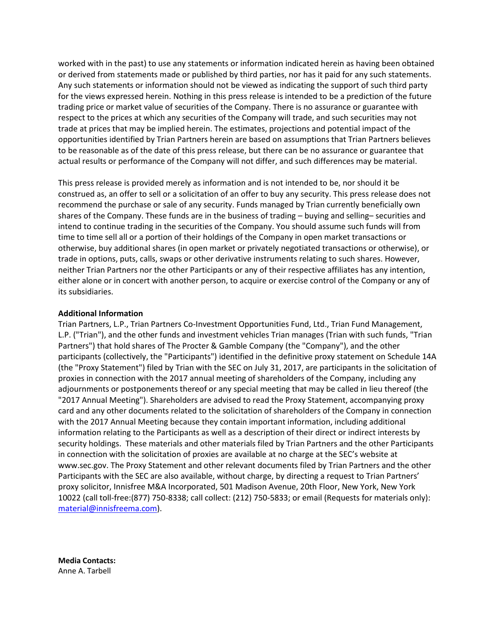worked with in the past) to use any statements or information indicated herein as having been obtained or derived from statements made or published by third parties, nor has it paid for any such statements. Any such statements or information should not be viewed as indicating the support of such third party for the views expressed herein. Nothing in this press release is intended to be a prediction of the future trading price or market value of securities of the Company. There is no assurance or guarantee with respect to the prices at which any securities of the Company will trade, and such securities may not trade at prices that may be implied herein. The estimates, projections and potential impact of the opportunities identified by Trian Partners herein are based on assumptions that Trian Partners believes to be reasonable as of the date of this press release, but there can be no assurance or guarantee that actual results or performance of the Company will not differ, and such differences may be material.

This press release is provided merely as information and is not intended to be, nor should it be construed as, an offer to sell or a solicitation of an offer to buy any security. This press release does not recommend the purchase or sale of any security. Funds managed by Trian currently beneficially own shares of the Company. These funds are in the business of trading – buying and selling– securities and intend to continue trading in the securities of the Company. You should assume such funds will from time to time sell all or a portion of their holdings of the Company in open market transactions or otherwise, buy additional shares (in open market or privately negotiated transactions or otherwise), or trade in options, puts, calls, swaps or other derivative instruments relating to such shares. However, neither Trian Partners nor the other Participants or any of their respective affiliates has any intention, either alone or in concert with another person, to acquire or exercise control of the Company or any of its subsidiaries.

#### **Additional Information**

Trian Partners, L.P., Trian Partners Co-Investment Opportunities Fund, Ltd., Trian Fund Management, L.P. ("Trian"), and the other funds and investment vehicles Trian manages (Trian with such funds, "Trian Partners") that hold shares of The Procter & Gamble Company (the "Company"), and the other participants (collectively, the "Participants") identified in the definitive proxy statement on Schedule 14A (the "Proxy Statement") filed by Trian with the SEC on July 31, 2017, are participants in the solicitation of proxies in connection with the 2017 annual meeting of shareholders of the Company, including any adjournments or postponements thereof or any special meeting that may be called in lieu thereof (the "2017 Annual Meeting"). Shareholders are advised to read the Proxy Statement, accompanying proxy card and any other documents related to the solicitation of shareholders of the Company in connection with the 2017 Annual Meeting because they contain important information, including additional information relating to the Participants as well as a description of their direct or indirect interests by security holdings. These materials and other materials filed by Trian Partners and the other Participants in connection with the solicitation of proxies are available at no charge at the SEC's website at www.sec.gov. The Proxy Statement and other relevant documents filed by Trian Partners and the other Participants with the SEC are also available, without charge, by directing a request to Trian Partners' proxy solicitor, Innisfree M&A Incorporated, 501 Madison Avenue, 20th Floor, New York, New York 10022 (call toll-free:(877) 750-8338; call collect: (212) 750-5833; or email (Requests for materials only): [material@innisfreema.com\)](mailto:material@innisfreema.com).

**Media Contacts:**  Anne A. Tarbell